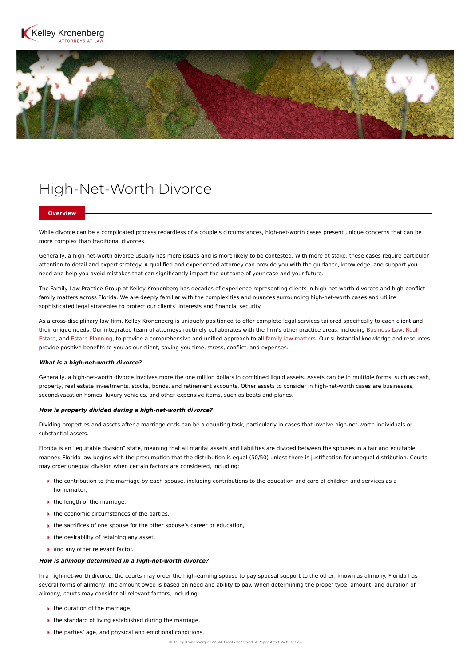



# High-Net-Worth Divorce

### **Overview**

While divorce can be a complicated process regardless of a couple's circumstances, high-net-worth cases present unique concerns that can be more complex than traditional divorces.

Generally, a high-net-worth divorce usually has more issues and is more likely to be contested. With more at stake, these cases require particular attention to detail and expert strategy. A qualified and experienced attorney can provide you with the guidance, knowledge, and support you need and help you avoid mistakes that can significantly impact the outcome of your case and your future.

The Family Law Practice Group at Kelley Kronenberg has decades of experience representing clients in high-net-worth divorces and high-conflict family matters across Florida. We are deeply familiar with the complexities and nuances surrounding high-net-worth cases and utilize sophisticated legal strategies to protect our clients' interests and financial security.

As a cross-disciplinary law firm, Kelley Kronenberg is uniquely positioned to offer complete legal services tailored specifically to each client and their unique needs. Our integrated team of attorneys routinely collaborates with the firm's other practice areas, including [Business Law,](https://www.kelleykronenberg.com/our-practices/business-law/) Real [Estate, and Estate Planning, to provide a comprehensive and unified approach to all family law matters. Our substantial knowledge and resou](https://www.kelleykronenberg.com/our-practices/real-estate/)rces provide positive benefits to you as our client, saving you time, stress, conflict, and expenses.

#### **What is a high-net-worth divorce?**

Generally, a high-net-worth divorce involves more the one million dollars in combined liquid assets. Assets can be in multiple forms, such as cash, property, real estate investments, stocks, bonds, and retirement accounts. Other assets to consider in high-net-worth cases are businesses, second/vacation homes, luxury vehicles, and other expensive items, such as boats and planes.

#### **How is property divided during a high-net-worth divorce?**

Dividing properties and assets after a marriage ends can be a daunting task, particularly in cases that involve high-net-worth individuals or substantial assets.

Florida is an "equitable division" state, meaning that all marital assets and liabilities are divided between the spouses in a fair and equitable manner. Florida law begins with the presumption that the distribution is equal (50/50) unless there is justification for unequal distribution. Courts may order unequal division when certain factors are considered, including:

- $\blacktriangleright$  the contribution to the marriage by each spouse, including contributions to the education and care of children and services as a homemaker,
- $\blacktriangleright$  the length of the marriage,
- $\blacktriangleright$  the economic circumstances of the parties,
- ▶ the sacrifices of one spouse for the other spouse's career or education,
- $\rightarrow$  the desirability of retaining any asset,
- and any other relevant factor.

## **How is alimony determined in a high-net-worth divorce?**

In a high-net-worth divorce, the courts may order the high-earning spouse to pay spousal support to the other, known as alimony. Florida has several forms of alimony. The amount owed is based on need and ability to pay. When determining the proper type, amount, and duration of alimony, courts may consider all relevant factors, including:

- $\blacktriangleright$  the duration of the marriage,
- $\blacktriangleright$  the standard of living established during the marriage,
- $\triangleright$  the parties' age, and physical and emotional conditions,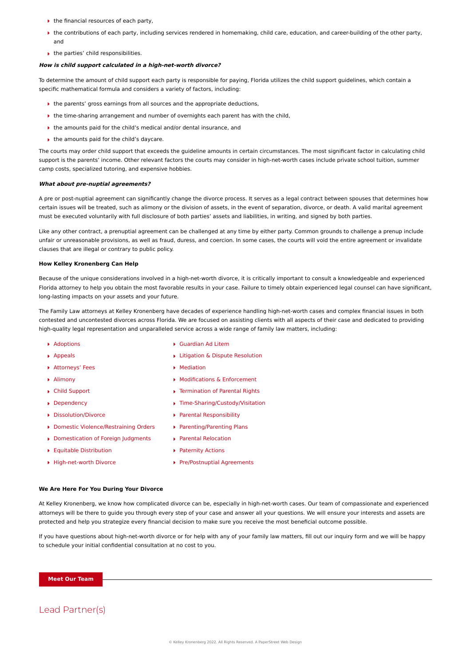- $\blacktriangleright$  the financial resources of each party,
- $\blacktriangleright$  the contributions of each party, including services rendered in homemaking, child care, education, and career-building of the other party, and
- $\blacktriangleright$  the parties' child responsibilities.

#### **How is child support calculated in a high-net-worth divorce?**

To determine the amount of child support each party is responsible for paying, Florida utilizes the child support guidelines, which contain a specific mathematical formula and considers a variety of factors, including:

- ▶ the parents' gross earnings from all sources and the appropriate deductions,
- **■** the time-sharing arrangement and number of overnights each parent has with the child,
- ▶ the amounts paid for the child's medical and/or dental insurance, and
- $\blacktriangleright$  the amounts paid for the child's daycare.

The courts may order child support that exceeds the guideline amounts in certain circumstances. The most significant factor in calculating child support is the parents' income. Other relevant factors the courts may consider in high-net-worth cases include private school tuition, summer camp costs, specialized tutoring, and expensive hobbies.

#### **What about pre-nuptial agreements?**

A pre or post-nuptial agreement can significantly change the divorce process. It serves as a legal contract between spouses that determines how certain issues will be treated, such as alimony or the division of assets, in the event of separation, divorce, or death. A valid marital agreement must be executed voluntarily with full disclosure of both parties' assets and liabilities, in writing, and signed by both parties.

Like any other contract, a prenuptial agreement can be challenged at any time by either party. Common grounds to challenge a prenup include unfair or unreasonable provisions, as well as fraud, duress, and coercion. In some cases, the courts will void the entire agreement or invalidate clauses that are illegal or contrary to public policy.

#### **How Kelley Kronenberg Can Help**

Because of the unique considerations involved in a high-net-worth divorce, it is critically important to consult a knowledgeable and experienced Florida attorney to help you obtain the most favorable results in your case. Failure to timely obtain experienced legal counsel can have significant, long-lasting impacts on your assets and your future.

The Family Law attorneys at Kelley Kronenberg have decades of experience handling high-net-worth cases and complex financial issues in both contested and uncontested divorces across Florida. We are focused on assisting clients with all aspects of their case and dedicated to providing high-quality legal representation and unparalleled service across a wide range of family law matters, including:

- ▶ [Adoptions](https://www.kelleykronenberg.com/our-practices/family-law/adoptions-lawyers/)
- [Appeals](https://www.kelleykronenberg.com/our-practices/family-law/litigation-and-dispute-resolution/appeals-lawyers/)
- [Attorneys' Fees](https://www.kelleykronenberg.com/our-practices/family-law/dissolution-divorce/attorneys-fees-lawyers/)
- [Alimony](https://www.kelleykronenberg.com/our-practices/family-law/dissolution-divorce/alimony-lawyers/)
- [Child Support](https://www.kelleykronenberg.com/our-practices/family-law/parenting-plans/child-support-lawyers/)
- [Dependency](https://www.kelleykronenberg.com/our-practices/family-law/dependency-lawyers/)
- ▶ [Dissolution/Divorce](https://www.kelleykronenberg.com/our-practices/family-law/dissolution-divorce-lawyers/)
- ▶ [Domestic Violence/Restraining Orders](https://www.kelleykronenberg.com/our-practices/family-law/domestic-violence-restraining-orders-lawyers/)
- [Domestication of Foreign Judgments](https://www.kelleykronenberg.com/our-practices/family-law/modifications-and-enforcement/domestication-of-foreign-judgments-lawyers/)
- [Equitable Distribution](https://www.kelleykronenberg.com/our-practices/family-law/dissolution-divorce/equitable-distribution-lawyers/)
- ▶ [High-net-worth Divorce](https://www.kelleykronenberg.com/our-practices/family-law/high-net-worth-divorce-lawyers)
- [Guardian Ad Litem](https://www.kelleykronenberg.com/our-practices/family-law/parenting-plans/guardian-ad-litem-lawyers/)
- **[Litigation & Dispute Resolution](https://www.kelleykronenberg.com/our-practices/family-law/litigation-and-dispute-resolution-lawyers/)**
- [Mediation](https://www.kelleykronenberg.com/our-practices/family-law/litigation-and-dispute-resolution/mediation-lawyers/)
- [Modifications & Enforcement](https://www.kelleykronenberg.com/our-practices/family-law/modifications-and-enforcement-lawyers/)
- [Termination of Parental Rights](https://www.kelleykronenberg.com/our-practices/family-law/modifications-and-enforcement-lawyers/)
- ▶ [Time-Sharing/Custody/Visitation](https://www.kelleykronenberg.com/our-practices/family-law/parenting-plans/time-sharing-custody-visitation-lawyers/)
- [Parental Responsibility](https://www.kelleykronenberg.com/our-practices/family-law/parenting-plans/parental-responsibility-lawyers/)
- [Parenting/Parenting Plans](https://www.kelleykronenberg.com/our-practices/family-law/parenting-plans-lawyers/)
- [Parental Relocation](https://www.kelleykronenberg.com/our-practices/family-law/parenting-plans/parental-relocation-lawyers/)
- **[Paternity Actions](https://www.kelleykronenberg.com/our-practices/family-law/parenting-plans/paternity-actions-lawyers/)**
- ▶ [Pre/Postnuptial Agreements](https://www.kelleykronenberg.com/our-practices/family-law/pre-and-postnuptial-agreements-lawyers/)

#### **We Are Here For You During Your Divorce**

At Kelley Kronenberg, we know how complicated divorce can be, especially in high-net-worth cases. Our team of compassionate and experienced attorneys will be there to guide you through every step of your case and answer all your questions. We will ensure your interests and assets are protected and help you strategize every financial decision to make sure you receive the most beneficial outcome possible.

If you have questions about high-net-worth divorce or for help with any of your family law matters, fill out our inquiry form and we will be happy to schedule your initial confidential consultation at no cost to you.

**Meet Our Team**

## Lead Partner(s)